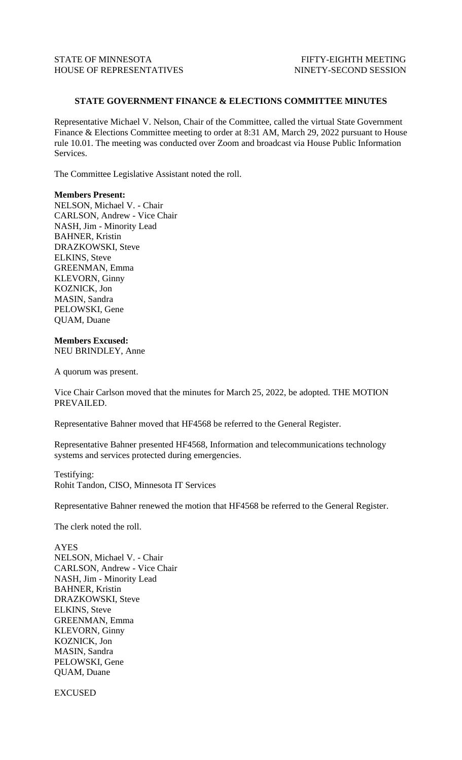## **STATE GOVERNMENT FINANCE & ELECTIONS COMMITTEE MINUTES**

Representative Michael V. Nelson, Chair of the Committee, called the virtual State Government Finance & Elections Committee meeting to order at 8:31 AM, March 29, 2022 pursuant to House rule 10.01. The meeting was conducted over Zoom and broadcast via House Public Information Services.

The Committee Legislative Assistant noted the roll.

## **Members Present:**

NELSON, Michael V. - Chair CARLSON, Andrew - Vice Chair NASH, Jim - Minority Lead BAHNER, Kristin DRAZKOWSKI, Steve ELKINS, Steve GREENMAN, Emma KLEVORN, Ginny KOZNICK, Jon MASIN, Sandra PELOWSKI, Gene QUAM, Duane

## **Members Excused:** NEU BRINDLEY, Anne

A quorum was present.

Vice Chair Carlson moved that the minutes for March 25, 2022, be adopted. THE MOTION PREVAILED.

Representative Bahner moved that HF4568 be referred to the General Register.

Representative Bahner presented HF4568, Information and telecommunications technology systems and services protected during emergencies.

Testifying: Rohit Tandon, CISO, Minnesota IT Services

Representative Bahner renewed the motion that HF4568 be referred to the General Register.

The clerk noted the roll.

AYES NELSON, Michael V. - Chair CARLSON, Andrew - Vice Chair NASH, Jim - Minority Lead BAHNER, Kristin DRAZKOWSKI, Steve ELKINS, Steve GREENMAN, Emma KLEVORN, Ginny KOZNICK, Jon MASIN, Sandra PELOWSKI, Gene QUAM, Duane

EXCUSED